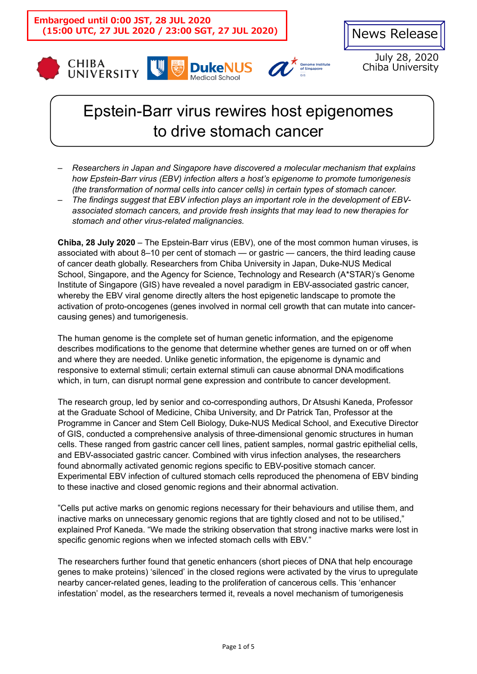









July 28, 2020 Chiba University

# Epstein-Barr virus rewires host epigenomes to drive stomach cancer

- *Researchers in Japan and Singapore have discovered a molecular mechanism that explains how Epstein-Barr virus (EBV) infection alters a host's epigenome to promote tumorigenesis (the transformation of normal cells into cancer cells) in certain types of stomach cancer.*
- *The findings suggest that EBV infection plays an important role in the development of EBVassociated stomach cancers, and provide fresh insights that may lead to new therapies for stomach and other virus-related malignancies.*

**Chiba, 28 July 2020** – The Epstein-Barr virus (EBV), one of the most common human viruses, is associated with about 8–10 per cent of stomach — or gastric — cancers, the third leading cause of cancer death globally. Researchers from Chiba University in Japan, Duke-NUS Medical School, Singapore, and the Agency for Science, Technology and Research (A\*STAR)'s Genome Institute of Singapore (GIS) have revealed a novel paradigm in EBV-associated gastric cancer, whereby the EBV viral genome directly alters the host epigenetic landscape to promote the activation of proto-oncogenes (genes involved in normal cell growth that can mutate into cancercausing genes) and tumorigenesis.

The human genome is the complete set of human genetic information, and the epigenome describes modifications to the genome that determine whether genes are turned on or off when and where they are needed. Unlike genetic information, the epigenome is dynamic and responsive to external stimuli; certain external stimuli can cause abnormal DNA modifications which, in turn, can disrupt normal gene expression and contribute to cancer development.

The research group, led by senior and co-corresponding authors, Dr Atsushi Kaneda, Professor at the Graduate School of Medicine, Chiba University, and Dr Patrick Tan, Professor at the Programme in Cancer and Stem Cell Biology, Duke-NUS Medical School, and Executive Director of GIS, conducted a comprehensive analysis of three-dimensional genomic structures in human cells. These ranged from gastric cancer cell lines, patient samples, normal gastric epithelial cells, and EBV-associated gastric cancer. Combined with virus infection analyses, the researchers found abnormally activated genomic regions specific to EBV-positive stomach cancer. Experimental EBV infection of cultured stomach cells reproduced the phenomena of EBV binding to these inactive and closed genomic regions and their abnormal activation.

"Cells put active marks on genomic regions necessary for their behaviours and utilise them, and inactive marks on unnecessary genomic regions that are tightly closed and not to be utilised," explained Prof Kaneda. "We made the striking observation that strong inactive marks were lost in specific genomic regions when we infected stomach cells with EBV."

The researchers further found that genetic enhancers (short pieces of DNA that help encourage genes to make proteins) 'silenced' in the closed regions were activated by the virus to upregulate nearby cancer-related genes, leading to the proliferation of cancerous cells. This 'enhancer infestation' model, as the researchers termed it, reveals a novel mechanism of tumorigenesis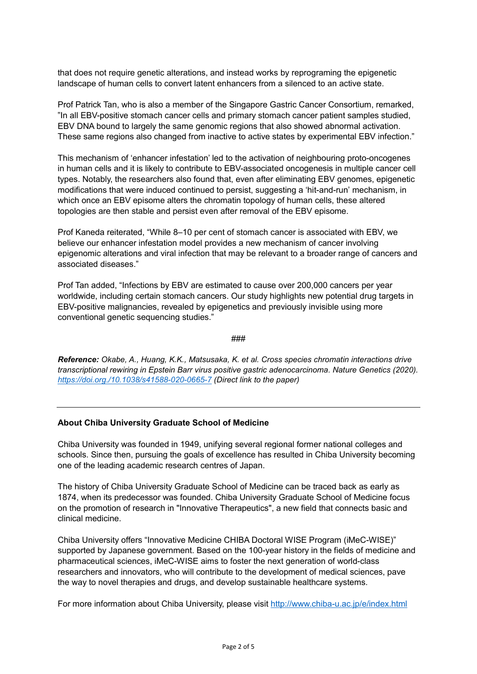that does not require genetic alterations, and instead works by reprograming the epigenetic landscape of human cells to convert latent enhancers from a silenced to an active state.

Prof Patrick Tan, who is also a member of the Singapore Gastric Cancer Consortium, remarked, "In all EBV-positive stomach cancer cells and primary stomach cancer patient samples studied, EBV DNA bound to largely the same genomic regions that also showed abnormal activation. These same regions also changed from inactive to active states by experimental EBV infection."

This mechanism of 'enhancer infestation' led to the activation of neighbouring proto-oncogenes in human cells and it is likely to contribute to EBV-associated oncogenesis in multiple cancer cell types. Notably, the researchers also found that, even after eliminating EBV genomes, epigenetic modifications that were induced continued to persist, suggesting a 'hit-and-run' mechanism, in which once an EBV episome alters the chromatin topology of human cells, these altered topologies are then stable and persist even after removal of the EBV episome.

Prof Kaneda reiterated, "While 8–10 per cent of stomach cancer is associated with EBV, we believe our enhancer infestation model provides a new mechanism of cancer involving epigenomic alterations and viral infection that may be relevant to a broader range of cancers and associated diseases."

Prof Tan added, "Infections by EBV are estimated to cause over 200,000 cancers per year worldwide, including certain stomach cancers. Our study highlights new potential drug targets in EBV-positive malignancies, revealed by epigenetics and previously invisible using more conventional genetic sequencing studies."

###

*Reference: Okabe, A., Huang, K.K., Matsusaka, K. et al. Cross species chromatin interactions drive transcriptional rewiring in Epstein Barr virus positive gastric adenocarcinoma. Nature Genetics (2020). <https://doi.org./10.1038/s41588-020-0665-7> (Direct link to the paper)*

#### **About Chiba University Graduate School of Medicine**

Chiba University was founded in 1949, unifying several regional former national colleges and schools. Since then, pursuing the goals of excellence has resulted in Chiba University becoming one of the leading academic research centres of Japan.

The history of Chiba University Graduate School of Medicine can be traced back as early as 1874, when its predecessor was founded. Chiba University Graduate School of Medicine focus on the promotion of research in "Innovative Therapeutics", a new field that connects basic and clinical medicine.

Chiba University offers "Innovative Medicine CHIBA Doctoral WISE Program (iMeC-WISE)" supported by Japanese government. Based on the 100-year history in the fields of medicine and pharmaceutical sciences, iMeC-WISE aims to foster the next generation of world-class researchers and innovators, who will contribute to the development of medical sciences, pave the way to novel therapies and drugs, and develop sustainable healthcare systems.

For more information about Chiba University, please visit<http://www.chiba-u.ac.jp/e/index.html>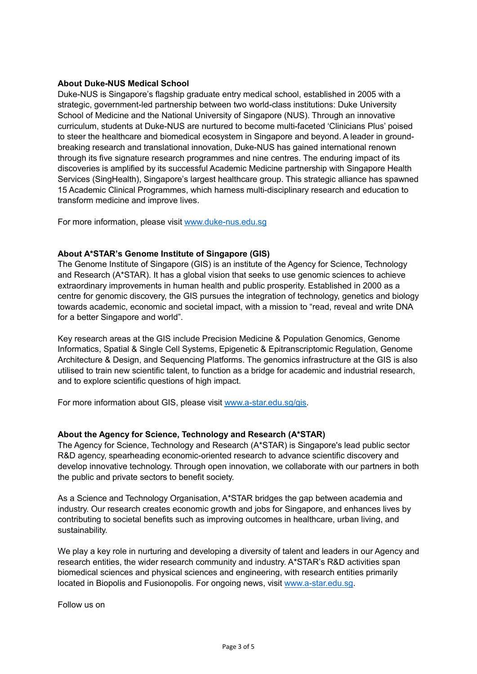## **About Duke-NUS Medical School**

Duke-NUS is Singapore's flagship graduate entry medical school, established in 2005 with a strategic, government-led partnership between two world-class institutions: Duke University School of Medicine and the National University of Singapore (NUS). Through an innovative curriculum, students at Duke-NUS are nurtured to become multi-faceted 'Clinicians Plus' poised to steer the healthcare and biomedical ecosystem in Singapore and beyond. A leader in groundbreaking research and translational innovation, Duke-NUS has gained international renown through its five signature research programmes and nine centres. The enduring impact of its discoveries is amplified by its successful Academic Medicine partnership with Singapore Health Services (SingHealth), Singapore's largest healthcare group. This strategic alliance has spawned 15 Academic Clinical Programmes, which harness multi-disciplinary research and education to transform medicine and improve lives.

For more information, please visit [www.duke-nus.edu.sg](http://www.duke-nus.edu.sg/)

#### **About A\*STAR's Genome Institute of Singapore (GIS)**

The Genome Institute of Singapore (GIS) is an institute of the Agency for Science, Technology and Research (A\*STAR). It has a global vision that seeks to use genomic sciences to achieve extraordinary improvements in human health and public prosperity. Established in 2000 as a centre for genomic discovery, the GIS pursues the integration of technology, genetics and biology towards academic, economic and societal impact, with a mission to "read, reveal and write DNA for a better Singapore and world".

Key research areas at the GIS include Precision Medicine & Population Genomics, Genome Informatics, Spatial & Single Cell Systems, Epigenetic & Epitranscriptomic Regulation, Genome Architecture & Design, and Sequencing Platforms. The genomics infrastructure at the GIS is also utilised to train new scientific talent, to function as a bridge for academic and industrial research, and to explore scientific questions of high impact.

For more information about GIS, please visit [www.a-star.edu.sg/gis.](https://www.a-star.edu.sg/gis)

#### **About the Agency for Science, Technology and Research (A\*STAR)**

The Agency for Science, Technology and Research (A\*STAR) is Singapore's lead public sector R&D agency, spearheading economic-oriented research to advance scientific discovery and develop innovative technology. Through open innovation, we collaborate with our partners in both the public and private sectors to benefit society.

As a Science and Technology Organisation, A\*STAR bridges the gap between academia and industry. Our research creates economic growth and jobs for Singapore, and enhances lives by contributing to societal benefits such as improving outcomes in healthcare, urban living, and sustainability.

We play a key role in nurturing and developing a diversity of talent and leaders in our Agency and research entities, the wider research community and industry. A\*STAR's R&D activities span biomedical sciences and physical sciences and engineering, with research entities primarily located in Biopolis and Fusionopolis. For ongoing news, visit [www.a-star.edu.sg.](https://www.a-star.edu.sg/)

Follow us on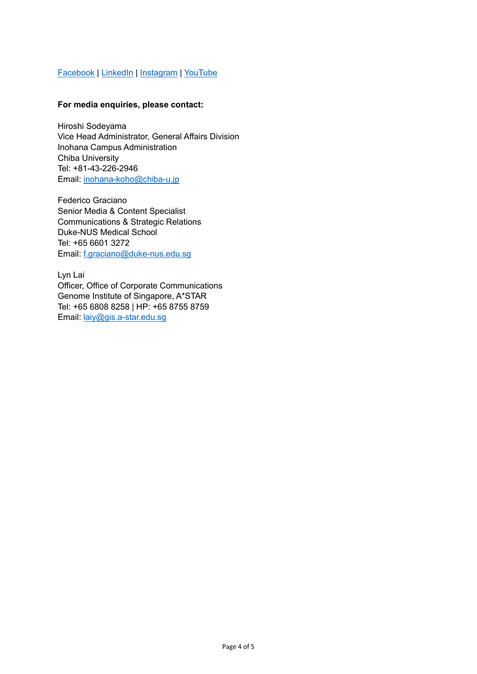# [Facebook](https://www.facebook.com/HQastar/) | [LinkedIn](https://www.linkedin.com/company/a-star) | [Instagram](https://www.instagram.com/astarsingapore/) | [YouTube](https://www.youtube.com/astartv)

## **For media enquiries, please contact:**

Hiroshi Sodeyama Vice Head Administrator, General Affairs Division Inohana Campus Administration Chiba University Tel: +81-43-226-2946 Email: [inohana-koho@chiba-u.jp](mailto:inohana-koho@chiba-u.jp)

Federico Graciano Senior Media & Content Specialist Communications & Strategic Relations Duke-NUS Medical School Tel: +65 6601 3272 Email: [f.graciano@duke-nus.edu.sg](mailto:f.graciano@duke-nus.edu.sg)

Lyn Lai Officer, Office of Corporate Communications Genome Institute of Singapore, A\*STAR Tel: +65 6808 8258 | HP: +65 8755 8759 Email: [laiy@gis.a-star.edu.sg](mailto:laiy@gis.a-star.edu.sg)